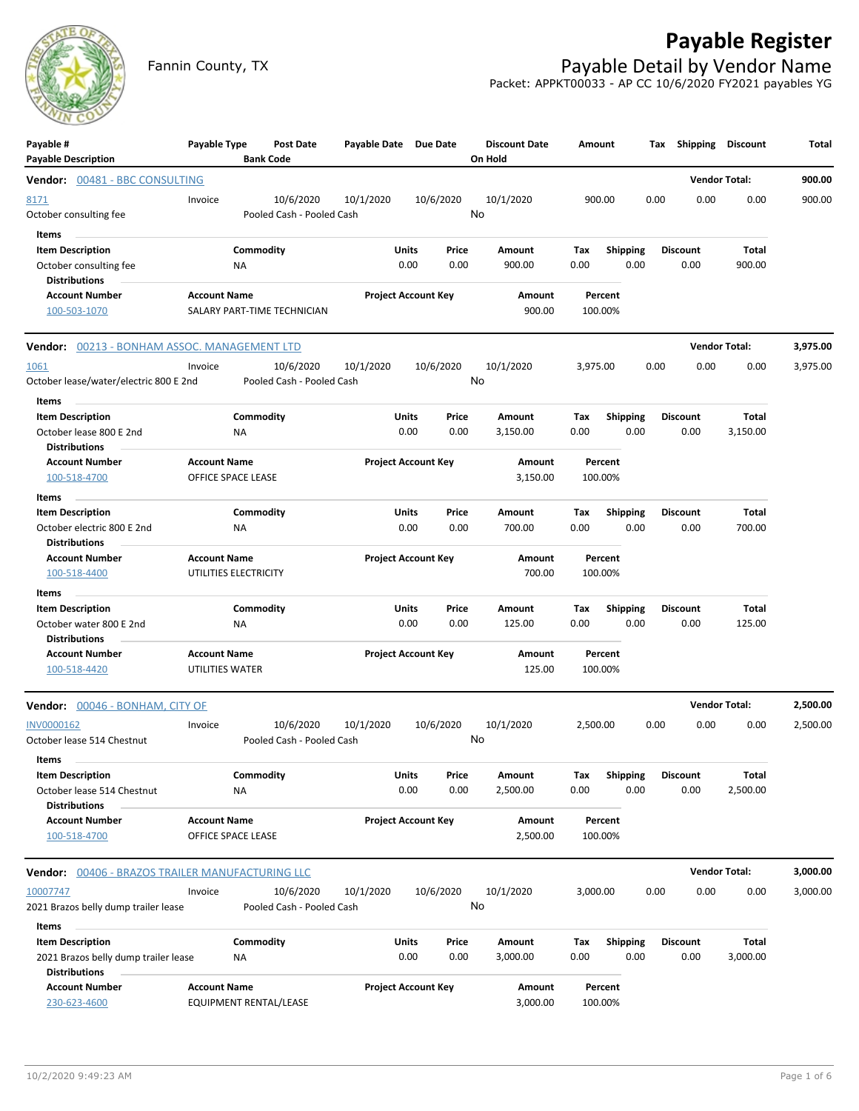## **Payable Register**



Fannin County, TX **Payable Detail by Vendor Name** Packet: APPKT00033 - AP CC 10/6/2020 FY2021 payables YG

| Payable #<br><b>Payable Description</b>                         | Payable Type          | Post Date<br><b>Bank Code</b> | Payable Date Due Date |                                | <b>Discount Date</b><br>On Hold | Amount             |                         | Tax  |                         | Shipping Discount    | Total    |
|-----------------------------------------------------------------|-----------------------|-------------------------------|-----------------------|--------------------------------|---------------------------------|--------------------|-------------------------|------|-------------------------|----------------------|----------|
| Vendor: 00481 - BBC CONSULTING                                  |                       |                               |                       |                                |                                 |                    |                         |      |                         | <b>Vendor Total:</b> | 900.00   |
| 8171                                                            | Invoice               | 10/6/2020                     | 10/1/2020             | 10/6/2020                      | 10/1/2020                       | 900.00             |                         | 0.00 | 0.00                    | 0.00                 | 900.00   |
| October consulting fee                                          |                       | Pooled Cash - Pooled Cash     |                       |                                | No                              |                    |                         |      |                         |                      |          |
| Items                                                           |                       |                               |                       |                                |                                 |                    |                         |      |                         |                      |          |
| <b>Item Description</b>                                         |                       | Commodity                     |                       | Units<br>Price                 | Amount                          | Тах                | <b>Shipping</b>         |      | <b>Discount</b>         | Total                |          |
| October consulting fee<br><b>Distributions</b>                  | ΝA                    |                               |                       | 0.00<br>0.00                   | 900.00                          | 0.00               | 0.00                    |      | 0.00                    | 900.00               |          |
| <b>Account Number</b>                                           | <b>Account Name</b>   |                               |                       | <b>Project Account Key</b>     | Amount                          | Percent            |                         |      |                         |                      |          |
| 100-503-1070                                                    |                       | SALARY PART-TIME TECHNICIAN   |                       |                                | 900.00                          | 100.00%            |                         |      |                         |                      |          |
| Vendor: 00213 - BONHAM ASSOC. MANAGEMENT LTD                    |                       |                               |                       |                                |                                 |                    |                         |      |                         | <b>Vendor Total:</b> | 3,975.00 |
| 1061                                                            | Invoice               | 10/6/2020                     | 10/1/2020             | 10/6/2020                      | 10/1/2020                       | 3,975.00           |                         | 0.00 | 0.00                    | 0.00                 | 3,975.00 |
| October lease/water/electric 800 E 2nd<br>Items                 |                       | Pooled Cash - Pooled Cash     |                       |                                | No                              |                    |                         |      |                         |                      |          |
| <b>Item Description</b>                                         |                       | Commodity                     |                       | Units<br>Price                 | Amount                          | Тах                | <b>Shipping</b>         |      | <b>Discount</b>         | Total                |          |
| October lease 800 E 2nd<br><b>Distributions</b>                 | ΝA                    |                               |                       | 0.00<br>0.00                   | 3,150.00                        | 0.00               | 0.00                    |      | 0.00                    | 3,150.00             |          |
| <b>Account Number</b>                                           | <b>Account Name</b>   |                               |                       | <b>Project Account Key</b>     | Amount                          | Percent            |                         |      |                         |                      |          |
| 100-518-4700                                                    | OFFICE SPACE LEASE    |                               |                       |                                | 3,150.00                        | 100.00%            |                         |      |                         |                      |          |
| Items                                                           |                       |                               |                       |                                |                                 |                    |                         |      |                         |                      |          |
| <b>Item Description</b>                                         |                       | Commodity                     |                       | Units<br>Price                 | Amount                          | Tax                | <b>Shipping</b>         |      | <b>Discount</b>         | Total                |          |
| October electric 800 E 2nd                                      | <b>NA</b>             |                               |                       | 0.00<br>0.00                   | 700.00                          | 0.00               | 0.00                    |      | 0.00                    | 700.00               |          |
| <b>Distributions</b>                                            |                       |                               |                       |                                |                                 |                    |                         |      |                         |                      |          |
| <b>Account Number</b>                                           | <b>Account Name</b>   |                               |                       | <b>Project Account Key</b>     | Amount                          | Percent            |                         |      |                         |                      |          |
| 100-518-4400                                                    | UTILITIES ELECTRICITY |                               |                       |                                | 700.00                          | 100.00%            |                         |      |                         |                      |          |
| Items                                                           |                       |                               |                       |                                |                                 |                    |                         |      |                         |                      |          |
| <b>Item Description</b><br>October water 800 E 2nd              | ΝA                    | Commodity                     |                       | Units<br>Price<br>0.00<br>0.00 | Amount<br>125.00                | Tax<br>0.00        | <b>Shipping</b><br>0.00 |      | Discount<br>0.00        | Total<br>125.00      |          |
| <b>Distributions</b>                                            |                       |                               |                       |                                |                                 |                    |                         |      |                         |                      |          |
| <b>Account Number</b>                                           | <b>Account Name</b>   |                               |                       | <b>Project Account Key</b>     | Amount                          | Percent            |                         |      |                         |                      |          |
| 100-518-4420                                                    | UTILITIES WATER       |                               |                       |                                | 125.00                          | 100.00%            |                         |      |                         |                      |          |
| Vendor: 00046 - BONHAM, CITY OF                                 |                       |                               |                       |                                |                                 |                    |                         |      |                         | <b>Vendor Total:</b> | 2,500.00 |
| INV0000162                                                      | Invoice               | 10/6/2020                     | 10/1/2020             | 10/6/2020                      | 10/1/2020                       | 2,500.00           |                         | 0.00 | 0.00                    | 0.00                 | 2,500.00 |
| October lease 514 Chestnut                                      |                       | Pooled Cash - Pooled Cash     |                       |                                | No                              |                    |                         |      |                         |                      |          |
| ltems                                                           |                       |                               |                       |                                |                                 |                    |                         |      |                         |                      |          |
| <b>Item Description</b>                                         |                       | Commodity                     |                       | Units<br>Price                 | Amount                          | Tax                | Shipping                |      | <b>Discount</b>         | Total                |          |
| October lease 514 Chestnut                                      | ΝA                    |                               |                       | 0.00<br>0.00                   | 2,500.00                        | 0.00               | 0.00                    |      | 0.00                    | 2,500.00             |          |
| <b>Distributions</b>                                            |                       |                               |                       |                                |                                 |                    |                         |      |                         |                      |          |
| <b>Account Number</b>                                           | <b>Account Name</b>   |                               |                       | <b>Project Account Key</b>     | Amount                          | Percent            |                         |      |                         |                      |          |
| 100-518-4700                                                    | OFFICE SPACE LEASE    |                               |                       |                                | 2,500.00                        | 100.00%            |                         |      |                         |                      |          |
| Vendor: 00406 - BRAZOS TRAILER MANUFACTURING LLC                |                       |                               |                       |                                |                                 |                    |                         |      |                         | <b>Vendor Total:</b> | 3,000.00 |
| 10007747                                                        | Invoice               | 10/6/2020                     | 10/1/2020             | 10/6/2020                      | 10/1/2020                       | 3,000.00           |                         | 0.00 | 0.00                    | 0.00                 | 3,000.00 |
| 2021 Brazos belly dump trailer lease                            |                       | Pooled Cash - Pooled Cash     |                       |                                | No                              |                    |                         |      |                         |                      |          |
| Items                                                           |                       |                               |                       |                                |                                 |                    |                         |      |                         |                      |          |
| <b>Item Description</b><br>2021 Brazos belly dump trailer lease | NA                    | Commodity                     |                       | Units<br>Price<br>0.00<br>0.00 | Amount<br>3,000.00              | Tax<br>0.00        | <b>Shipping</b><br>0.00 |      | <b>Discount</b><br>0.00 | Total<br>3,000.00    |          |
| <b>Distributions</b><br><b>Account Number</b><br>230-623-4600   | <b>Account Name</b>   | EQUIPMENT RENTAL/LEASE        |                       | <b>Project Account Key</b>     | Amount<br>3,000.00              | Percent<br>100.00% |                         |      |                         |                      |          |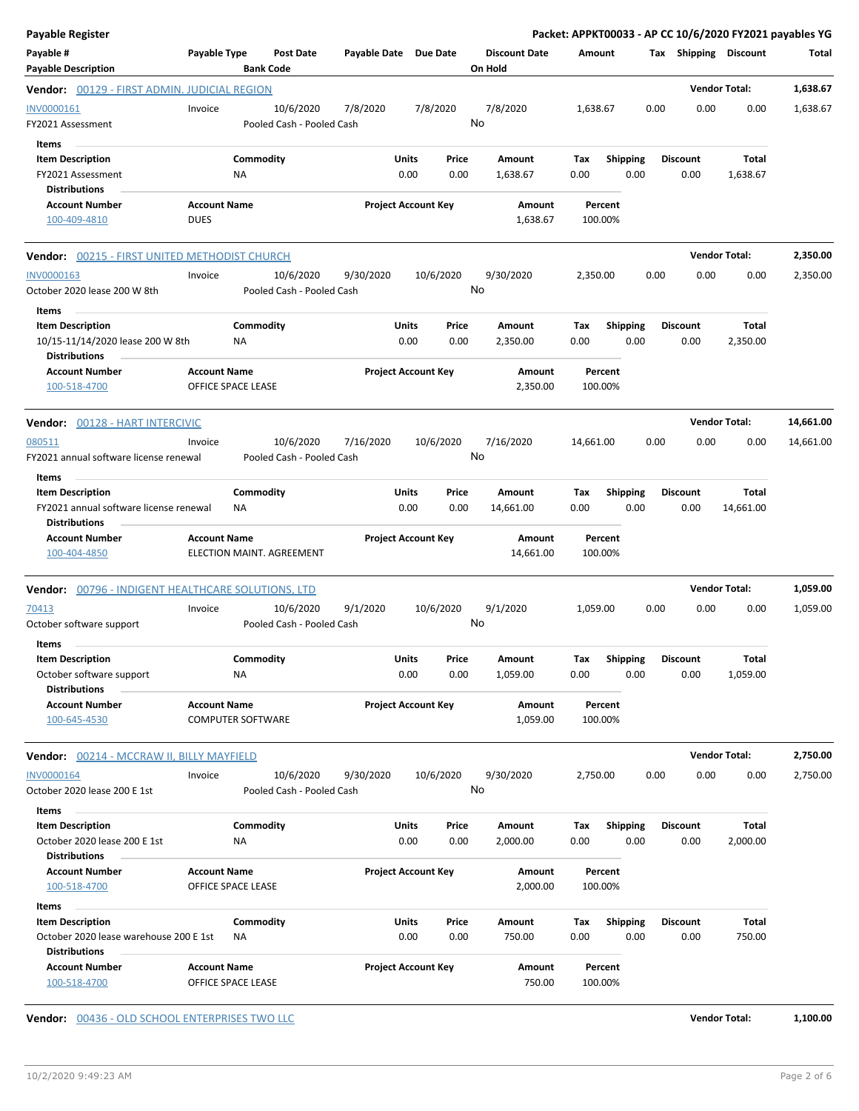| Payable Register                                                                          |                                    |                          |                                        |                       |               |                            |                                 |                    |                         |      |                         | Packet: APPKT00033 - AP CC 10/6/2020 FY2021 payables YG |           |
|-------------------------------------------------------------------------------------------|------------------------------------|--------------------------|----------------------------------------|-----------------------|---------------|----------------------------|---------------------------------|--------------------|-------------------------|------|-------------------------|---------------------------------------------------------|-----------|
| Payable #<br><b>Payable Description</b>                                                   | Payable Type                       | <b>Bank Code</b>         | Post Date                              | Payable Date Due Date |               |                            | <b>Discount Date</b><br>On Hold | Amount             |                         |      | Tax Shipping Discount   |                                                         | Total     |
| <b>Vendor:</b> 00129 - FIRST ADMIN. JUDICIAL REGION                                       |                                    |                          |                                        |                       |               |                            |                                 |                    |                         |      |                         | <b>Vendor Total:</b>                                    | 1,638.67  |
| INV0000161<br>FY2021 Assessment<br>Items                                                  | Invoice                            |                          | 10/6/2020<br>Pooled Cash - Pooled Cash | 7/8/2020              |               | 7/8/2020                   | 7/8/2020<br>No                  | 1,638.67           |                         | 0.00 | 0.00                    | 0.00                                                    | 1,638.67  |
| <b>Item Description</b><br>FY2021 Assessment                                              |                                    | Commodity<br>ΝA          |                                        |                       | Units<br>0.00 | Price<br>0.00              | Amount<br>1,638.67              | Tax<br>0.00        | <b>Shipping</b><br>0.00 |      | <b>Discount</b><br>0.00 | <b>Total</b><br>1,638.67                                |           |
| <b>Distributions</b>                                                                      |                                    |                          |                                        |                       |               |                            |                                 |                    |                         |      |                         |                                                         |           |
| <b>Account Number</b><br>100-409-4810                                                     | <b>Account Name</b><br><b>DUES</b> |                          |                                        |                       |               | <b>Project Account Key</b> | Amount<br>1,638.67              | Percent<br>100.00% |                         |      |                         |                                                         |           |
| <b>Vendor:</b> 00215 - FIRST UNITED METHODIST CHURCH                                      |                                    |                          |                                        |                       |               |                            |                                 |                    |                         |      |                         | <b>Vendor Total:</b>                                    | 2,350.00  |
| INV0000163<br>October 2020 lease 200 W 8th                                                | Invoice                            |                          | 10/6/2020<br>Pooled Cash - Pooled Cash | 9/30/2020             |               | 10/6/2020                  | 9/30/2020<br>No                 | 2,350.00           |                         | 0.00 | 0.00                    | 0.00                                                    | 2,350.00  |
| Items<br><b>Item Description</b>                                                          |                                    | Commodity                |                                        |                       | Units         | Price                      | Amount                          | Тах                | <b>Shipping</b>         |      | <b>Discount</b>         | Total                                                   |           |
| 10/15-11/14/2020 lease 200 W 8th<br><b>Distributions</b>                                  |                                    | ΝA                       |                                        |                       | 0.00          | 0.00                       | 2,350.00                        | 0.00               | 0.00                    |      | 0.00                    | 2,350.00                                                |           |
| <b>Account Number</b><br>100-518-4700                                                     | <b>Account Name</b>                | OFFICE SPACE LEASE       |                                        |                       |               | <b>Project Account Key</b> | Amount<br>2,350.00              | Percent<br>100.00% |                         |      |                         |                                                         |           |
| Vendor: 00128 - HART INTERCIVIC                                                           |                                    |                          |                                        |                       |               |                            |                                 |                    |                         |      |                         | <b>Vendor Total:</b>                                    | 14,661.00 |
| 080511<br>FY2021 annual software license renewal                                          | Invoice                            |                          | 10/6/2020<br>Pooled Cash - Pooled Cash | 7/16/2020             |               | 10/6/2020                  | 7/16/2020<br>No                 | 14,661.00          |                         | 0.00 | 0.00                    | 0.00                                                    | 14,661.00 |
| Items<br><b>Item Description</b>                                                          |                                    | Commodity                |                                        |                       | Units         | Price                      | Amount                          | Tax                | <b>Shipping</b>         |      | <b>Discount</b>         | Total                                                   |           |
| FY2021 annual software license renewal<br><b>Distributions</b>                            |                                    | ΝA                       |                                        |                       | 0.00          | 0.00                       | 14,661.00                       | 0.00               | 0.00                    |      | 0.00                    | 14,661.00                                               |           |
| <b>Account Number</b><br>100-404-4850                                                     | <b>Account Name</b>                |                          | ELECTION MAINT. AGREEMENT              |                       |               | <b>Project Account Key</b> | Amount<br>14,661.00             | Percent<br>100.00% |                         |      |                         |                                                         |           |
| <b>Vendor:</b> 00796 - INDIGENT HEALTHCARE SOLUTIONS, LTD                                 |                                    |                          |                                        |                       |               |                            |                                 |                    |                         |      |                         | <b>Vendor Total:</b>                                    | 1,059.00  |
| 70413<br>October software support                                                         | Invoice                            |                          | 10/6/2020<br>Pooled Cash - Pooled Cash | 9/1/2020              |               | 10/6/2020                  | 9/1/2020<br>No                  | 1,059.00           |                         | 0.00 | 0.00                    | 0.00                                                    | 1,059.00  |
| Items                                                                                     |                                    |                          |                                        |                       |               |                            |                                 |                    |                         |      |                         |                                                         |           |
| <b>Item Description</b><br>October software support<br><b>Distributions</b>               |                                    | Commodity<br>ΝA          |                                        |                       | Units<br>0.00 | Price<br>0.00              | Amount<br>1,059.00              | Tax<br>0.00        | <b>Shipping</b><br>0.00 |      | <b>Discount</b><br>0.00 | Total<br>1,059.00                                       |           |
| <b>Account Number</b><br>100-645-4530                                                     | <b>Account Name</b>                | <b>COMPUTER SOFTWARE</b> |                                        |                       |               | <b>Project Account Key</b> | Amount<br>1,059.00              | Percent<br>100.00% |                         |      |                         |                                                         |           |
| Vendor: 00214 - MCCRAW II, BILLY MAYFIELD                                                 |                                    |                          |                                        |                       |               |                            |                                 |                    |                         |      |                         | <b>Vendor Total:</b>                                    | 2,750.00  |
| <b>INV0000164</b><br>October 2020 lease 200 E 1st                                         | Invoice                            |                          | 10/6/2020<br>Pooled Cash - Pooled Cash | 9/30/2020             |               | 10/6/2020                  | 9/30/2020<br>No                 | 2,750.00           |                         | 0.00 | 0.00                    | 0.00                                                    | 2,750.00  |
| Items<br><b>Item Description</b>                                                          |                                    | Commodity                |                                        |                       | Units         | Price                      | Amount                          | Тах                | <b>Shipping</b>         |      | <b>Discount</b>         | <b>Total</b>                                            |           |
| October 2020 lease 200 E 1st<br><b>Distributions</b>                                      |                                    | ΝA                       |                                        |                       | 0.00          | 0.00                       | 2,000.00                        | 0.00               | 0.00                    |      | 0.00                    | 2,000.00                                                |           |
| <b>Account Number</b><br>100-518-4700                                                     | <b>Account Name</b>                | OFFICE SPACE LEASE       |                                        |                       |               | <b>Project Account Key</b> | Amount<br>2,000.00              | Percent<br>100.00% |                         |      |                         |                                                         |           |
| <b>Items</b>                                                                              |                                    |                          |                                        |                       |               |                            |                                 |                    |                         |      |                         |                                                         |           |
| <b>Item Description</b><br>October 2020 lease warehouse 200 E 1st<br><b>Distributions</b> |                                    | Commodity<br>ΝA          |                                        |                       | Units<br>0.00 | Price<br>0.00              | Amount<br>750.00                | Tax<br>0.00        | <b>Shipping</b><br>0.00 |      | <b>Discount</b><br>0.00 | Total<br>750.00                                         |           |
| <b>Account Number</b><br>100-518-4700                                                     | <b>Account Name</b>                | OFFICE SPACE LEASE       |                                        |                       |               | <b>Project Account Key</b> | Amount<br>750.00                | Percent<br>100.00% |                         |      |                         |                                                         |           |

**Vendor:** 00436 - OLD SCHOOL ENTERPRISES TWO LLC **Vendor Total: 1,100.00**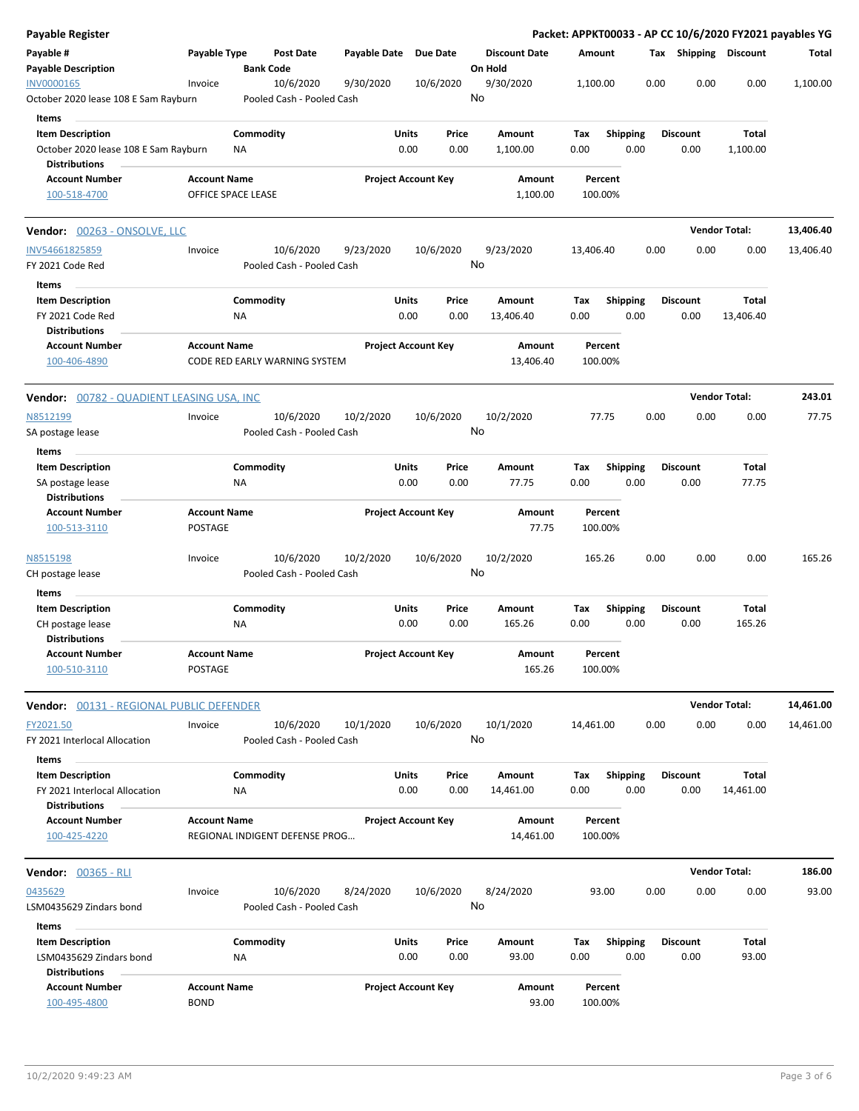| Payable Register                                                                        |                                |                        |                                        |              |                                |    |                                 |             |                 |      |      |                         |                       | Packet: APPKT00033 - AP CC 10/6/2020 FY2021 payables YG |
|-----------------------------------------------------------------------------------------|--------------------------------|------------------------|----------------------------------------|--------------|--------------------------------|----|---------------------------------|-------------|-----------------|------|------|-------------------------|-----------------------|---------------------------------------------------------|
| Payable #<br><b>Payable Description</b>                                                 | Payable Type                   |                        | <b>Post Date</b><br><b>Bank Code</b>   | Payable Date | Due Date                       |    | <b>Discount Date</b><br>On Hold | Amount      |                 |      |      |                         | Tax Shipping Discount | Total                                                   |
| INV0000165<br>October 2020 lease 108 E Sam Rayburn                                      | Invoice                        |                        | 10/6/2020<br>Pooled Cash - Pooled Cash | 9/30/2020    | 10/6/2020                      | No | 9/30/2020                       | 1,100.00    |                 |      | 0.00 | 0.00                    | 0.00                  | 1,100.00                                                |
| Items                                                                                   |                                |                        |                                        |              |                                |    |                                 |             |                 |      |      |                         |                       |                                                         |
| <b>Item Description</b><br>October 2020 lease 108 E Sam Rayburn<br><b>Distributions</b> |                                | Commodity<br>ΝA        |                                        |              | Units<br>Price<br>0.00<br>0.00 |    | Amount<br>1,100.00              | Tax<br>0.00 | <b>Shipping</b> | 0.00 |      | <b>Discount</b><br>0.00 | Total<br>1,100.00     |                                                         |
| <b>Account Number</b>                                                                   | <b>Account Name</b>            |                        |                                        |              | <b>Project Account Key</b>     |    | Amount                          |             | Percent         |      |      |                         |                       |                                                         |
| 100-518-4700                                                                            | OFFICE SPACE LEASE             |                        |                                        |              |                                |    | 1,100.00                        | 100.00%     |                 |      |      |                         |                       |                                                         |
| Vendor: 00263 - ONSOLVE, LLC                                                            |                                |                        |                                        |              |                                |    |                                 |             |                 |      |      |                         | <b>Vendor Total:</b>  | 13,406.40                                               |
| INV54661825859                                                                          | Invoice                        |                        | 10/6/2020                              | 9/23/2020    | 10/6/2020                      |    | 9/23/2020                       | 13,406.40   |                 |      | 0.00 | 0.00                    | 0.00                  | 13,406.40                                               |
| FY 2021 Code Red                                                                        |                                |                        | Pooled Cash - Pooled Cash              |              |                                | No |                                 |             |                 |      |      |                         |                       |                                                         |
| Items                                                                                   |                                |                        |                                        |              |                                |    |                                 |             |                 |      |      |                         |                       |                                                         |
| <b>Item Description</b><br>FY 2021 Code Red                                             |                                | Commodity<br>ΝA        |                                        |              | Units<br>Price<br>0.00<br>0.00 |    | Amount<br>13,406.40             | Tax<br>0.00 | <b>Shipping</b> | 0.00 |      | <b>Discount</b><br>0.00 | Total<br>13,406.40    |                                                         |
| <b>Distributions</b>                                                                    |                                |                        |                                        |              |                                |    |                                 |             |                 |      |      |                         |                       |                                                         |
| <b>Account Number</b><br>100-406-4890                                                   | <b>Account Name</b>            |                        | CODE RED EARLY WARNING SYSTEM          |              | <b>Project Account Key</b>     |    | Amount<br>13,406.40             | 100.00%     | Percent         |      |      |                         |                       |                                                         |
| <b>Vendor:</b> 00782 - QUADIENT LEASING USA, INC                                        |                                |                        |                                        |              |                                |    |                                 |             |                 |      |      |                         | <b>Vendor Total:</b>  | 243.01                                                  |
| N8512199                                                                                | Invoice                        |                        | 10/6/2020                              | 10/2/2020    | 10/6/2020                      |    | 10/2/2020                       |             | 77.75           |      | 0.00 | 0.00                    | 0.00                  | 77.75                                                   |
| SA postage lease                                                                        |                                |                        | Pooled Cash - Pooled Cash              |              |                                | No |                                 |             |                 |      |      |                         |                       |                                                         |
| Items                                                                                   |                                |                        |                                        |              |                                |    |                                 |             |                 |      |      |                         |                       |                                                         |
| <b>Item Description</b>                                                                 |                                | Commodity              |                                        |              | Units<br>Price                 |    | Amount                          | Tax         | <b>Shipping</b> |      |      | <b>Discount</b>         | Total                 |                                                         |
| SA postage lease                                                                        |                                | ΝA                     |                                        |              | 0.00<br>0.00                   |    | 77.75                           | 0.00        |                 | 0.00 |      | 0.00                    | 77.75                 |                                                         |
| <b>Distributions</b>                                                                    |                                |                        |                                        |              |                                |    |                                 |             |                 |      |      |                         |                       |                                                         |
| <b>Account Number</b><br>100-513-3110                                                   | <b>Account Name</b><br>POSTAGE |                        |                                        |              | <b>Project Account Key</b>     |    | Amount<br>77.75                 | 100.00%     | Percent         |      |      |                         |                       |                                                         |
| N8515198                                                                                | Invoice                        |                        | 10/6/2020<br>Pooled Cash - Pooled Cash | 10/2/2020    | 10/6/2020                      | No | 10/2/2020                       | 165.26      |                 |      | 0.00 | 0.00                    | 0.00                  | 165.26                                                  |
| CH postage lease                                                                        |                                |                        |                                        |              |                                |    |                                 |             |                 |      |      |                         |                       |                                                         |
| Items                                                                                   |                                |                        |                                        |              |                                |    |                                 |             |                 |      |      |                         |                       |                                                         |
| <b>Item Description</b><br>CH postage lease<br><b>Distributions</b>                     |                                | Commodity<br>ΝA        |                                        |              | Units<br>Price<br>0.00<br>0.00 |    | Amount<br>165.26                | Tax<br>0.00 | <b>Shipping</b> | 0.00 |      | <b>Discount</b><br>0.00 | Total<br>165.26       |                                                         |
| <b>Account Number</b>                                                                   | <b>Account Name</b>            |                        |                                        |              | <b>Project Account Key</b>     |    | Amount                          |             | Percent         |      |      |                         |                       |                                                         |
| 100-510-3110                                                                            | POSTAGE                        |                        |                                        |              |                                |    | 165.26                          | 100.00%     |                 |      |      |                         |                       |                                                         |
| Vendor: 00131 - REGIONAL PUBLIC DEFENDER                                                |                                |                        |                                        |              |                                |    |                                 |             |                 |      |      |                         | <b>Vendor Total:</b>  | 14,461.00                                               |
| FY2021.50<br>FY 2021 Interlocal Allocation                                              | Invoice                        |                        | 10/6/2020<br>Pooled Cash - Pooled Cash | 10/1/2020    | 10/6/2020                      | No | 10/1/2020                       | 14,461.00   |                 |      | 0.00 | 0.00                    | 0.00                  | 14,461.00                                               |
| Items                                                                                   |                                |                        |                                        |              |                                |    |                                 |             |                 |      |      |                         |                       |                                                         |
| <b>Item Description</b>                                                                 |                                | Commodity              |                                        |              | Units<br>Price                 |    | Amount                          | Tax         | <b>Shipping</b> |      |      | <b>Discount</b>         | Total                 |                                                         |
| FY 2021 Interlocal Allocation<br><b>Distributions</b>                                   |                                | ΝA                     |                                        |              | 0.00<br>0.00                   |    | 14,461.00                       | 0.00        |                 | 0.00 |      | 0.00                    | 14,461.00             |                                                         |
| <b>Account Number</b>                                                                   | <b>Account Name</b>            |                        |                                        |              | <b>Project Account Key</b>     |    | Amount                          |             | Percent         |      |      |                         |                       |                                                         |
| 100-425-4220                                                                            |                                |                        | REGIONAL INDIGENT DEFENSE PROG         |              |                                |    | 14,461.00                       | 100.00%     |                 |      |      |                         |                       |                                                         |
|                                                                                         |                                |                        |                                        |              |                                |    |                                 |             |                 |      |      |                         | <b>Vendor Total:</b>  | 186.00                                                  |
| 0435629                                                                                 | Invoice                        |                        | 10/6/2020                              | 8/24/2020    | 10/6/2020                      |    | 8/24/2020                       |             | 93.00           |      | 0.00 | 0.00                    | 0.00                  | 93.00                                                   |
| LSM0435629 Zindars bond                                                                 |                                |                        | Pooled Cash - Pooled Cash              |              |                                | No |                                 |             |                 |      |      |                         |                       |                                                         |
| Items                                                                                   |                                |                        |                                        |              | Units                          |    |                                 |             |                 |      |      |                         |                       |                                                         |
| <b>Item Description</b><br>LSM0435629 Zindars bond                                      |                                | Commodity<br><b>NA</b> |                                        |              | Price<br>0.00<br>0.00          |    | Amount<br>93.00                 | Tax<br>0.00 | <b>Shipping</b> | 0.00 |      | <b>Discount</b><br>0.00 | Total<br>93.00        |                                                         |
| <b>Distributions</b>                                                                    |                                |                        |                                        |              |                                |    |                                 |             |                 |      |      |                         |                       |                                                         |
| <b>Account Number</b>                                                                   | <b>Account Name</b>            |                        |                                        |              | <b>Project Account Key</b>     |    | Amount                          |             | Percent         |      |      |                         |                       |                                                         |
| 100-495-4800                                                                            | <b>BOND</b>                    |                        |                                        |              |                                |    | 93.00                           | 100.00%     |                 |      |      |                         |                       |                                                         |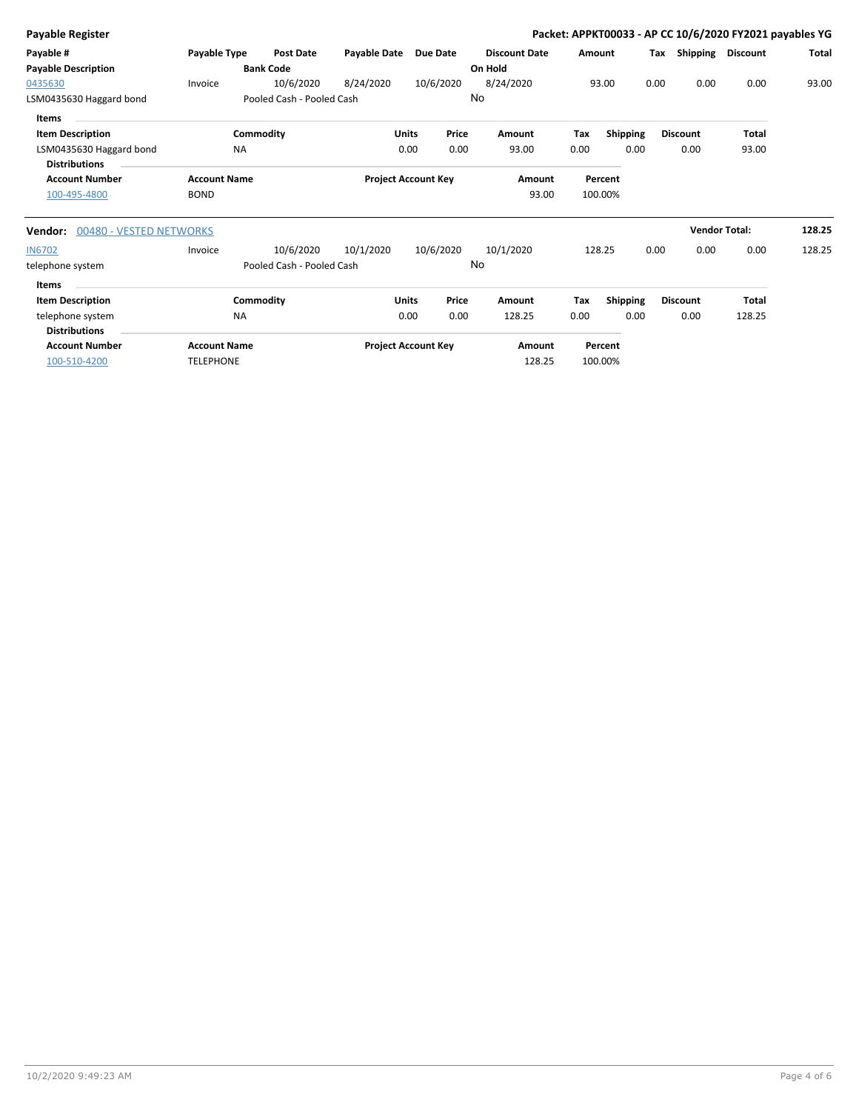| Payable Register                   |                     |                           |              |                            |                      | Packet: APPKT00033 - AP CC 10/6/2020 FY2021 payables YG |                 |                 |                      |        |
|------------------------------------|---------------------|---------------------------|--------------|----------------------------|----------------------|---------------------------------------------------------|-----------------|-----------------|----------------------|--------|
| Payable #                          | Payable Type        | <b>Post Date</b>          | Payable Date | <b>Due Date</b>            | <b>Discount Date</b> | Amount                                                  |                 | Shipping<br>Тах | <b>Discount</b>      | Total  |
| <b>Payable Description</b>         |                     | <b>Bank Code</b>          |              |                            | On Hold              |                                                         |                 |                 |                      |        |
| 0435630                            | Invoice             | 10/6/2020                 | 8/24/2020    | 10/6/2020                  | 8/24/2020            | 93.00                                                   | 0.00            | 0.00            | 0.00                 | 93.00  |
| LSM0435630 Haggard bond            |                     | Pooled Cash - Pooled Cash |              |                            | No                   |                                                         |                 |                 |                      |        |
| Items                              |                     |                           |              |                            |                      |                                                         |                 |                 |                      |        |
| <b>Item Description</b>            |                     | Commodity                 | <b>Units</b> | Price                      | Amount               | Tax                                                     | <b>Shipping</b> | <b>Discount</b> | <b>Total</b>         |        |
| LSM0435630 Haggard bond            | <b>NA</b>           |                           | 0.00         | 0.00                       | 93.00                | 0.00                                                    | 0.00            | 0.00            | 93.00                |        |
| <b>Distributions</b>               |                     |                           |              |                            |                      |                                                         |                 |                 |                      |        |
| <b>Account Number</b>              | <b>Account Name</b> |                           |              | <b>Project Account Key</b> | Amount               | Percent                                                 |                 |                 |                      |        |
| 100-495-4800                       | <b>BOND</b>         |                           |              |                            | 93.00                | 100.00%                                                 |                 |                 |                      |        |
| 00480 - VESTED NETWORKS<br>Vendor: |                     |                           |              |                            |                      |                                                         |                 |                 | <b>Vendor Total:</b> | 128.25 |
| <b>IN6702</b>                      | Invoice             | 10/6/2020                 | 10/1/2020    | 10/6/2020                  | 10/1/2020            | 128.25                                                  | 0.00            | 0.00            | 0.00                 | 128.25 |
| telephone system                   |                     | Pooled Cash - Pooled Cash |              |                            | No                   |                                                         |                 |                 |                      |        |
| Items                              |                     |                           |              |                            |                      |                                                         |                 |                 |                      |        |
| <b>Item Description</b>            |                     | Commodity                 | <b>Units</b> | Price                      | <b>Amount</b>        | Tax                                                     | <b>Shipping</b> | <b>Discount</b> | <b>Total</b>         |        |
| telephone system                   | <b>NA</b>           |                           |              | 0.00<br>0.00               | 128.25               | 0.00                                                    | 0.00            | 0.00            | 128.25               |        |
| <b>Distributions</b>               |                     |                           |              |                            |                      |                                                         |                 |                 |                      |        |
| <b>Account Number</b>              | <b>Account Name</b> |                           |              | <b>Project Account Key</b> | Amount               | Percent                                                 |                 |                 |                      |        |
| 100-510-4200                       | <b>TELEPHONE</b>    |                           |              |                            | 128.25               | 100.00%                                                 |                 |                 |                      |        |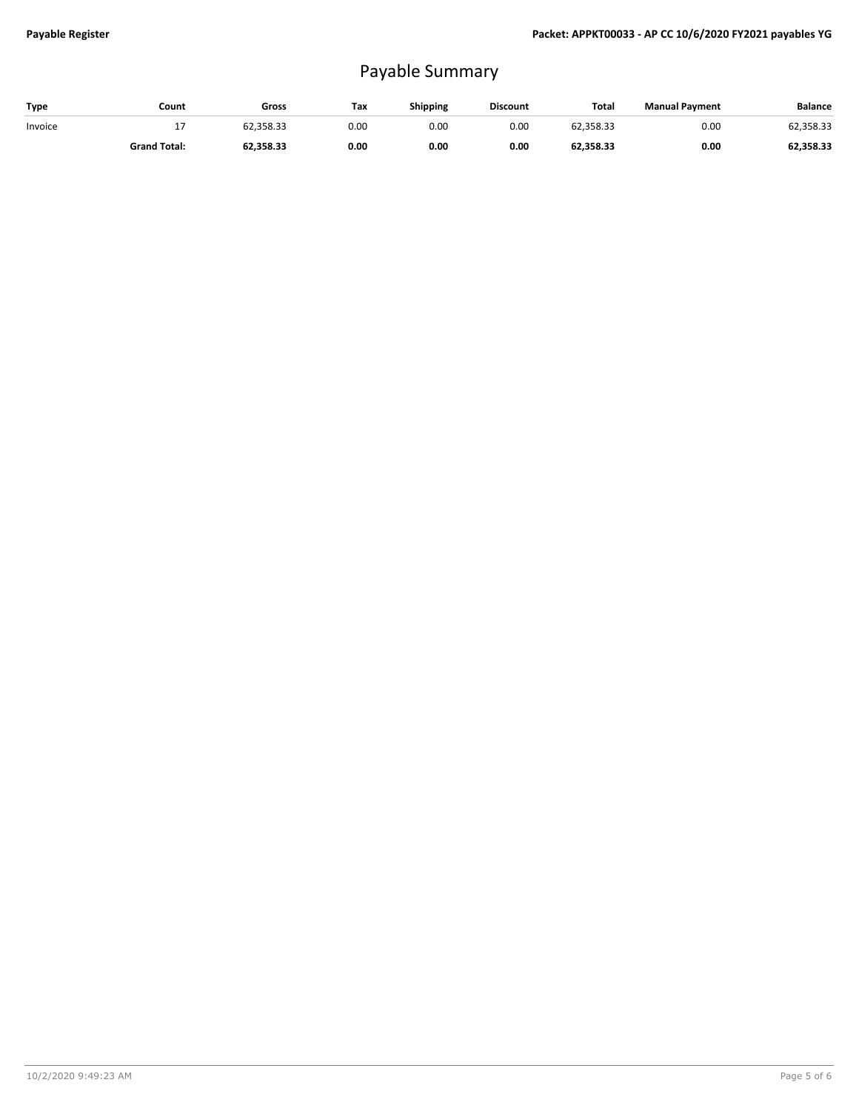## Payable Summary

| Type    | Count               | Gross     | Тах  | Shipping | <b>Discount</b> | Total     | <b>Manual Payment</b> | Balance   |
|---------|---------------------|-----------|------|----------|-----------------|-----------|-----------------------|-----------|
| Invoice | - 1                 | 62.358.33 | 0.00 | 0.00     | 0.00            | 62,358.33 | 0.00                  | 62,358.33 |
|         | <b>Grand Total:</b> | 62,358.33 | 0.00 | 0.00     | 0.00            | 62,358.33 | 0.00                  | 62,358.33 |